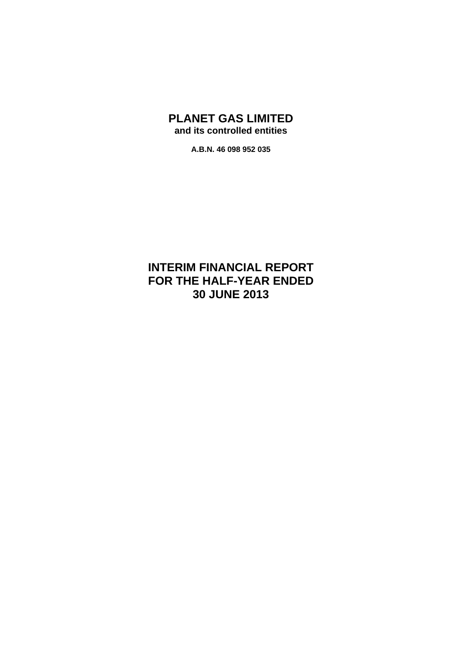# **PLANET GAS LIMITED and its controlled entities**

**A.B.N. 46 098 952 035** 

# **INTERIM FINANCIAL REPORT FOR THE HALF-YEAR ENDED 30 JUNE 2013**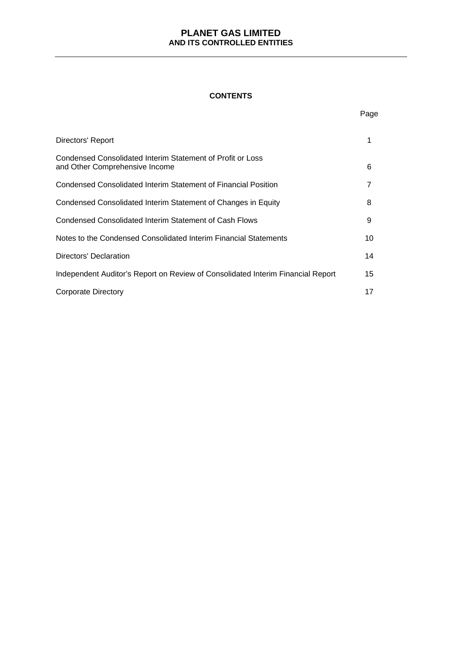## **CONTENTS**

|                                                                                              | Page |
|----------------------------------------------------------------------------------------------|------|
| Directors' Report                                                                            | 1    |
| Condensed Consolidated Interim Statement of Profit or Loss<br>and Other Comprehensive Income | 6    |
| Condensed Consolidated Interim Statement of Financial Position                               | 7    |
| Condensed Consolidated Interim Statement of Changes in Equity                                | 8    |
| Condensed Consolidated Interim Statement of Cash Flows                                       | 9    |
| Notes to the Condensed Consolidated Interim Financial Statements                             | 10   |
| Directors' Declaration                                                                       | 14   |
| Independent Auditor's Report on Review of Consolidated Interim Financial Report              | 15   |
| Corporate Directory                                                                          | 17   |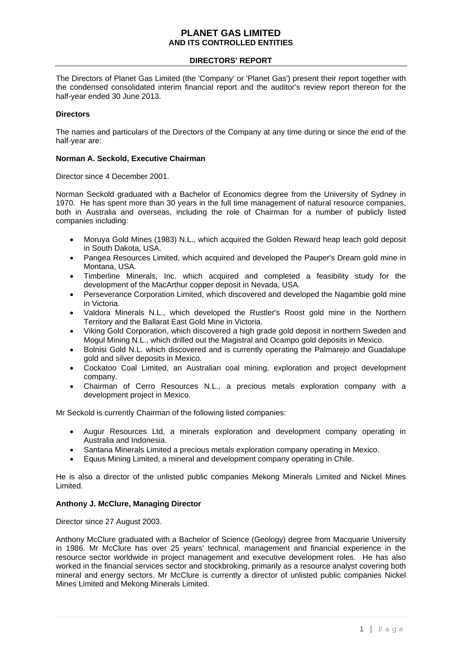## **DIRECTORS' REPORT**

The Directors of Planet Gas Limited (the 'Company' or 'Planet Gas') present their report together with the condensed consolidated interim financial report and the auditor's review report thereon for the half-year ended 30 June 2013.

## **Directors**

The names and particulars of the Directors of the Company at any time during or since the end of the half-year are:

## **Norman A. Seckold, Executive Chairman**

Director since 4 December 2001.

Norman Seckold graduated with a Bachelor of Economics degree from the University of Sydney in 1970. He has spent more than 30 years in the full time management of natural resource companies, both in Australia and overseas, including the role of Chairman for a number of publicly listed companies including:

- Moruya Gold Mines (1983) N.L., which acquired the Golden Reward heap leach gold deposit in South Dakota, USA.
- Pangea Resources Limited, which acquired and developed the Pauper's Dream gold mine in Montana, USA.
- Timberline Minerals, Inc. which acquired and completed a feasibility study for the development of the MacArthur copper deposit in Nevada, USA.
- Perseverance Corporation Limited, which discovered and developed the Nagambie gold mine in Victoria.
- Valdora Minerals N.L., which developed the Rustler's Roost gold mine in the Northern Territory and the Ballarat East Gold Mine in Victoria.
- Viking Gold Corporation, which discovered a high grade gold deposit in northern Sweden and Mogul Mining N.L., which drilled out the Magistral and Ocampo gold deposits in Mexico.
- Bolnisi Gold N.L. which discovered and is currently operating the Palmarejo and Guadalupe gold and silver deposits in Mexico.
- Cockatoo Coal Limited, an Australian coal mining, exploration and project development company.
- Chairman of Cerro Resources N.L., a precious metals exploration company with a development project in Mexico.

Mr Seckold is currently Chairman of the following listed companies:

- Augur Resources Ltd, a minerals exploration and development company operating in Australia and Indonesia.
- Santana Minerals Limited a precious metals exploration company operating in Mexico.
- Equus Mining Limited, a mineral and development company operating in Chile.

He is also a director of the unlisted public companies Mekong Minerals Limited and Nickel Mines Limited.

## **Anthony J. McClure, Managing Director**

Director since 27 August 2003.

Anthony McClure graduated with a Bachelor of Science (Geology) degree from Macquarie University in 1986. Mr McClure has over 25 years' technical, management and financial experience in the resource sector worldwide in project management and executive development roles. He has also worked in the financial services sector and stockbroking, primarily as a resource analyst covering both mineral and energy sectors. Mr McClure is currently a director of unlisted public companies Nickel Mines Limited and Mekong Minerals Limited.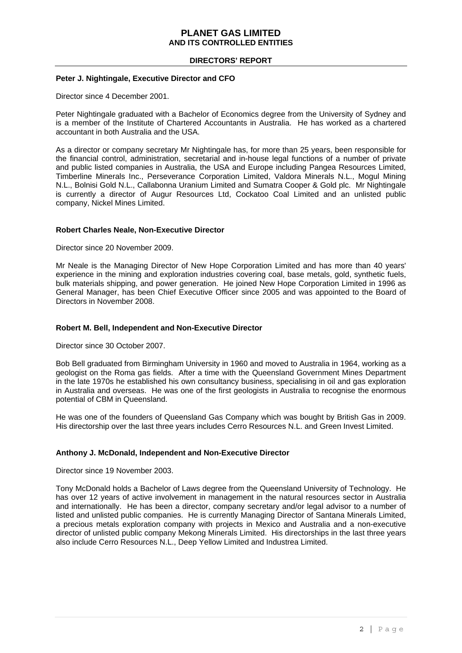## **DIRECTORS' REPORT**

## **Peter J. Nightingale, Executive Director and CFO**

Director since 4 December 2001.

Peter Nightingale graduated with a Bachelor of Economics degree from the University of Sydney and is a member of the Institute of Chartered Accountants in Australia. He has worked as a chartered accountant in both Australia and the USA.

As a director or company secretary Mr Nightingale has, for more than 25 years, been responsible for the financial control, administration, secretarial and in-house legal functions of a number of private and public listed companies in Australia, the USA and Europe including Pangea Resources Limited, Timberline Minerals Inc., Perseverance Corporation Limited, Valdora Minerals N.L., Mogul Mining N.L., Bolnisi Gold N.L., Callabonna Uranium Limited and Sumatra Cooper & Gold plc. Mr Nightingale is currently a director of Augur Resources Ltd, Cockatoo Coal Limited and an unlisted public company, Nickel Mines Limited.

## **Robert Charles Neale, Non-Executive Director**

Director since 20 November 2009.

Mr Neale is the Managing Director of New Hope Corporation Limited and has more than 40 years' experience in the mining and exploration industries covering coal, base metals, gold, synthetic fuels, bulk materials shipping, and power generation. He joined New Hope Corporation Limited in 1996 as General Manager, has been Chief Executive Officer since 2005 and was appointed to the Board of Directors in November 2008.

#### **Robert M. Bell, Independent and Non-Executive Director**

Director since 30 October 2007.

Bob Bell graduated from Birmingham University in 1960 and moved to Australia in 1964, working as a geologist on the Roma gas fields. After a time with the Queensland Government Mines Department in the late 1970s he established his own consultancy business, specialising in oil and gas exploration in Australia and overseas. He was one of the first geologists in Australia to recognise the enormous potential of CBM in Queensland.

He was one of the founders of Queensland Gas Company which was bought by British Gas in 2009. His directorship over the last three years includes Cerro Resources N.L. and Green Invest Limited.

#### **Anthony J. McDonald, Independent and Non-Executive Director**

Director since 19 November 2003.

Tony McDonald holds a Bachelor of Laws degree from the Queensland University of Technology. He has over 12 years of active involvement in management in the natural resources sector in Australia and internationally. He has been a director, company secretary and/or legal advisor to a number of listed and unlisted public companies. He is currently Managing Director of Santana Minerals Limited, a precious metals exploration company with projects in Mexico and Australia and a non-executive director of unlisted public company Mekong Minerals Limited. His directorships in the last three years also include Cerro Resources N.L., Deep Yellow Limited and Industrea Limited.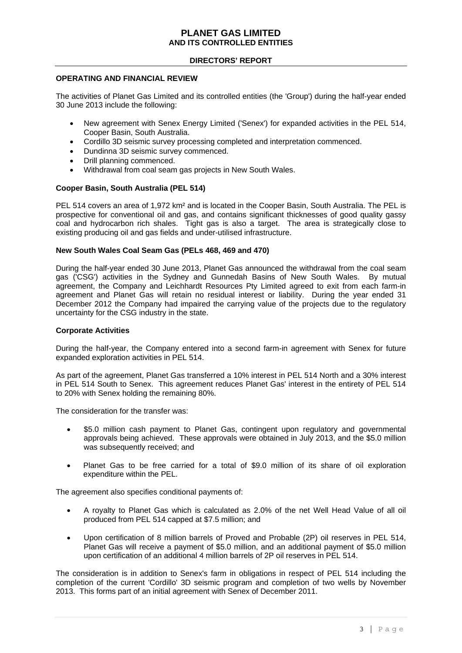## **DIRECTORS' REPORT**

#### **OPERATING AND FINANCIAL REVIEW**

The activities of Planet Gas Limited and its controlled entities (the 'Group') during the half-year ended 30 June 2013 include the following:

- New agreement with Senex Energy Limited ('Senex') for expanded activities in the PEL 514, Cooper Basin, South Australia.
- Cordillo 3D seismic survey processing completed and interpretation commenced.
- Dundinna 3D seismic survey commenced.
- Drill planning commenced.
- Withdrawal from coal seam gas projects in New South Wales.

## **Cooper Basin, South Australia (PEL 514)**

PEL 514 covers an area of 1,972 km<sup>2</sup> and is located in the Cooper Basin, South Australia. The PEL is prospective for conventional oil and gas, and contains significant thicknesses of good quality gassy coal and hydrocarbon rich shales. Tight gas is also a target. The area is strategically close to existing producing oil and gas fields and under-utilised infrastructure.

## **New South Wales Coal Seam Gas (PELs 468, 469 and 470)**

During the half-year ended 30 June 2013, Planet Gas announced the withdrawal from the coal seam gas ('CSG') activities in the Sydney and Gunnedah Basins of New South Wales. By mutual agreement, the Company and Leichhardt Resources Pty Limited agreed to exit from each farm-in agreement and Planet Gas will retain no residual interest or liability. During the year ended 31 December 2012 the Company had impaired the carrying value of the projects due to the regulatory uncertainty for the CSG industry in the state.

#### **Corporate Activities**

During the half-year, the Company entered into a second farm-in agreement with Senex for future expanded exploration activities in PEL 514.

As part of the agreement, Planet Gas transferred a 10% interest in PEL 514 North and a 30% interest in PEL 514 South to Senex. This agreement reduces Planet Gas' interest in the entirety of PEL 514 to 20% with Senex holding the remaining 80%.

The consideration for the transfer was:

- \$5.0 million cash payment to Planet Gas, contingent upon regulatory and governmental approvals being achieved. These approvals were obtained in July 2013, and the \$5.0 million was subsequently received; and
- Planet Gas to be free carried for a total of \$9.0 million of its share of oil exploration expenditure within the PEL.

The agreement also specifies conditional payments of:

- A royalty to Planet Gas which is calculated as 2.0% of the net Well Head Value of all oil produced from PEL 514 capped at \$7.5 million; and
- Upon certification of 8 million barrels of Proved and Probable (2P) oil reserves in PEL 514, Planet Gas will receive a payment of \$5.0 million, and an additional payment of \$5.0 million upon certification of an additional 4 million barrels of 2P oil reserves in PEL 514.

The consideration is in addition to Senex's farm in obligations in respect of PEL 514 including the completion of the current 'Cordillo' 3D seismic program and completion of two wells by November 2013. This forms part of an initial agreement with Senex of December 2011.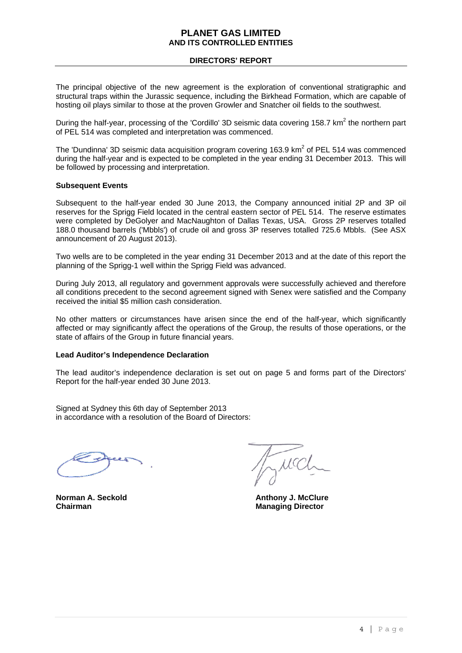## **DIRECTORS' REPORT**

The principal objective of the new agreement is the exploration of conventional stratigraphic and structural traps within the Jurassic sequence, including the Birkhead Formation, which are capable of hosting oil plays similar to those at the proven Growler and Snatcher oil fields to the southwest.

During the half-year, processing of the 'Cordillo' 3D seismic data covering 158.7 km<sup>2</sup> the northern part of PEL 514 was completed and interpretation was commenced.

The 'Dundinna' 3D seismic data acquisition program covering 163.9  $km^2$  of PEL 514 was commenced during the half-year and is expected to be completed in the year ending 31 December 2013. This will be followed by processing and interpretation.

#### **Subsequent Events**

Subsequent to the half-year ended 30 June 2013, the Company announced initial 2P and 3P oil reserves for the Sprigg Field located in the central eastern sector of PEL 514. The reserve estimates were completed by DeGolyer and MacNaughton of Dallas Texas, USA. Gross 2P reserves totalled 188.0 thousand barrels ('Mbbls') of crude oil and gross 3P reserves totalled 725.6 Mbbls. (See ASX announcement of 20 August 2013).

Two wells are to be completed in the year ending 31 December 2013 and at the date of this report the planning of the Sprigg-1 well within the Sprigg Field was advanced.

During July 2013, all regulatory and government approvals were successfully achieved and therefore all conditions precedent to the second agreement signed with Senex were satisfied and the Company received the initial \$5 million cash consideration.

No other matters or circumstances have arisen since the end of the half-year, which significantly affected or may significantly affect the operations of the Group, the results of those operations, or the state of affairs of the Group in future financial years.

#### **Lead Auditor's Independence Declaration**

The lead auditor's independence declaration is set out on page 5 and forms part of the Directors' Report for the half-year ended 30 June 2013.

Signed at Sydney this 6th day of September 2013 in accordance with a resolution of the Board of Directors:

**Chairman** Managing Director **Managing Director** 

**Norman A. Seckold Community Community Anthony J. McClure**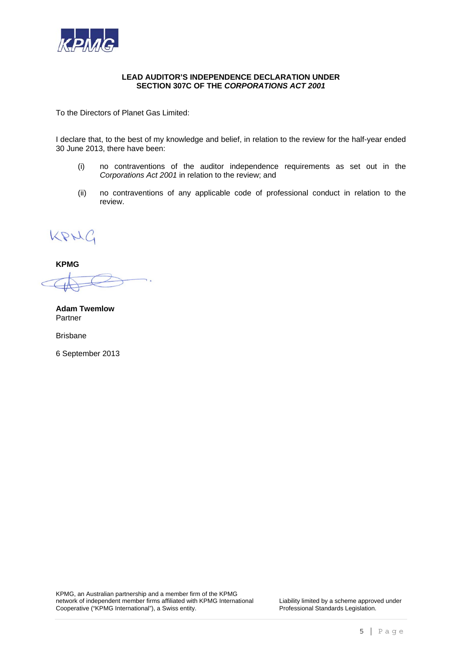

## **LEAD AUDITOR'S INDEPENDENCE DECLARATION UNDER SECTION 307C OF THE** *CORPORATIONS ACT 2001*

To the Directors of Planet Gas Limited:

I declare that, to the best of my knowledge and belief, in relation to the review for the half-year ended 30 June 2013, there have been:

- (i) no contraventions of the auditor independence requirements as set out in the *Corporations Act 2001* in relation to the review; and
- (ii) no contraventions of any applicable code of professional conduct in relation to the review.

KRNG

**KPMG** 

**Adam Twemlow**  Partner

Brisbane

6 September 2013

KPMG, an Australian partnership and a member firm of the KPMG network of independent member firms affiliated with KPMG International Liability limited by a scheme approved under<br>Cooperative ("KPMG International"), a Swiss entity. Professional Standards Legislation. Cooperative ("KPMG International"), a Swiss entity.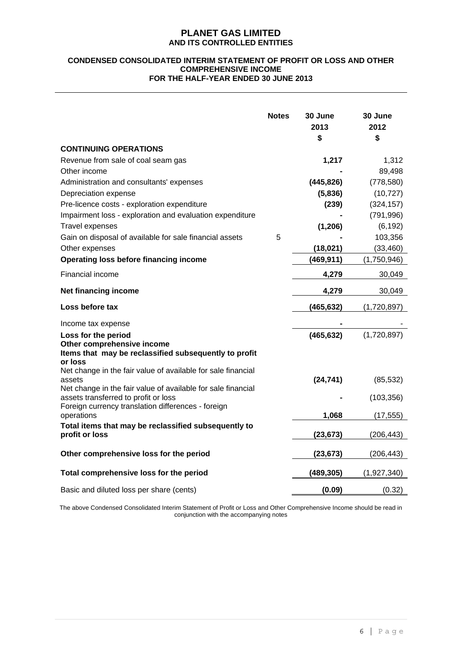### **CONDENSED CONSOLIDATED INTERIM STATEMENT OF PROFIT OR LOSS AND OTHER COMPREHENSIVE INCOME FOR THE HALF-YEAR ENDED 30 JUNE 2013**

|                                                                                                                                                            | <b>Notes</b> | 30 June<br>2013<br>\$ | 30 June<br>2012<br>\$ |
|------------------------------------------------------------------------------------------------------------------------------------------------------------|--------------|-----------------------|-----------------------|
| <b>CONTINUING OPERATIONS</b>                                                                                                                               |              |                       |                       |
| Revenue from sale of coal seam gas                                                                                                                         |              | 1,217                 | 1,312                 |
| Other income                                                                                                                                               |              |                       | 89,498                |
| Administration and consultants' expenses                                                                                                                   |              | (445, 826)            | (778, 580)            |
| Depreciation expense                                                                                                                                       |              | (5,836)               | (10, 727)             |
| Pre-licence costs - exploration expenditure                                                                                                                |              | (239)                 | (324, 157)            |
| Impairment loss - exploration and evaluation expenditure                                                                                                   |              |                       | (791, 996)            |
| <b>Travel expenses</b>                                                                                                                                     |              | (1,206)               | (6, 192)              |
| Gain on disposal of available for sale financial assets                                                                                                    | 5            |                       | 103,356               |
| Other expenses                                                                                                                                             |              | (18, 021)             | (33, 460)             |
| <b>Operating loss before financing income</b>                                                                                                              |              | (469, 911)            | (1,750,946)           |
| Financial income                                                                                                                                           |              | 4,279                 | 30,049                |
| Net financing income                                                                                                                                       |              | 4,279                 | 30,049                |
| Loss before tax                                                                                                                                            |              | (465, 632)            | (1,720,897)           |
| Income tax expense                                                                                                                                         |              |                       |                       |
| Loss for the period<br>Other comprehensive income<br>Items that may be reclassified subsequently to profit<br>or loss                                      |              | (465, 632)            | (1,720,897)           |
| Net change in the fair value of available for sale financial<br>assets                                                                                     |              | (24, 741)             | (85, 532)             |
| Net change in the fair value of available for sale financial<br>assets transferred to profit or loss<br>Foreign currency translation differences - foreign |              |                       | (103, 356)            |
| operations                                                                                                                                                 |              | 1,068                 | (17, 555)             |
| Total items that may be reclassified subsequently to<br>profit or loss                                                                                     |              | (23, 673)             | (206, 443)            |
| Other comprehensive loss for the period                                                                                                                    |              | (23, 673)             | (206, 443)            |
| Total comprehensive loss for the period                                                                                                                    |              | (489,305)             | (1,927,340)           |
| Basic and diluted loss per share (cents)                                                                                                                   |              | (0.09)                | (0.32)                |

The above Condensed Consolidated Interim Statement of Profit or Loss and Other Comprehensive Income should be read in conjunction with the accompanying notes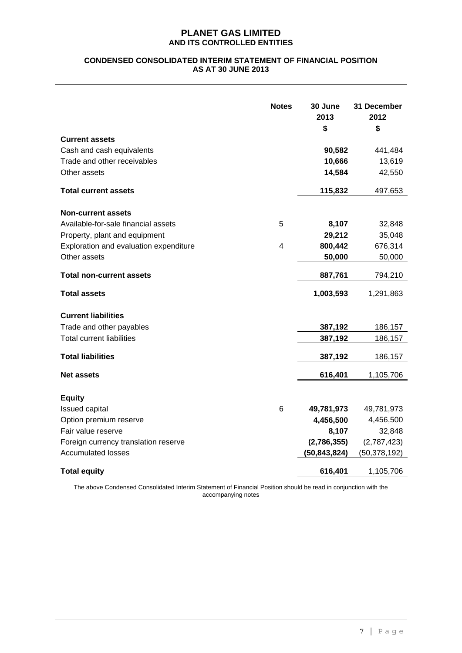## **CONDENSED CONSOLIDATED INTERIM STATEMENT OF FINANCIAL POSITION AS AT 30 JUNE 2013**

| <b>Current assets</b><br>Cash and cash equivalents<br>Trade and other receivables<br>Other assets<br><b>Total current assets</b>                                            | <b>Notes</b> | 30 June<br>2013<br>\$<br>90,582<br>10,666<br>14,584<br>115,832             | 31 December<br>2012<br>\$<br>441,484<br>13,619<br>42,550<br>497,653             |
|-----------------------------------------------------------------------------------------------------------------------------------------------------------------------------|--------------|----------------------------------------------------------------------------|---------------------------------------------------------------------------------|
| <b>Non-current assets</b><br>Available-for-sale financial assets<br>Property, plant and equipment<br>Exploration and evaluation expenditure<br>Other assets                 | 5<br>4       | 8,107<br>29,212<br>800,442<br>50,000                                       | 32,848<br>35,048<br>676,314<br>50,000                                           |
| <b>Total non-current assets</b><br><b>Total assets</b>                                                                                                                      |              | 887,761<br>1,003,593                                                       | 794,210<br>1,291,863                                                            |
| <b>Current liabilities</b><br>Trade and other payables<br><b>Total current liabilities</b><br><b>Total liabilities</b><br><b>Net assets</b>                                 |              | 387,192<br>387,192<br>387,192<br>616,401                                   | 186,157<br>186,157<br>186,157<br>1,105,706                                      |
| <b>Equity</b><br>Issued capital<br>Option premium reserve<br>Fair value reserve<br>Foreign currency translation reserve<br><b>Accumulated losses</b><br><b>Total equity</b> | 6            | 49,781,973<br>4,456,500<br>8,107<br>(2,786,355)<br>(50,843,824)<br>616,401 | 49,781,973<br>4,456,500<br>32,848<br>(2,787,423)<br>(50, 378, 192)<br>1,105,706 |

The above Condensed Consolidated Interim Statement of Financial Position should be read in conjunction with the accompanying notes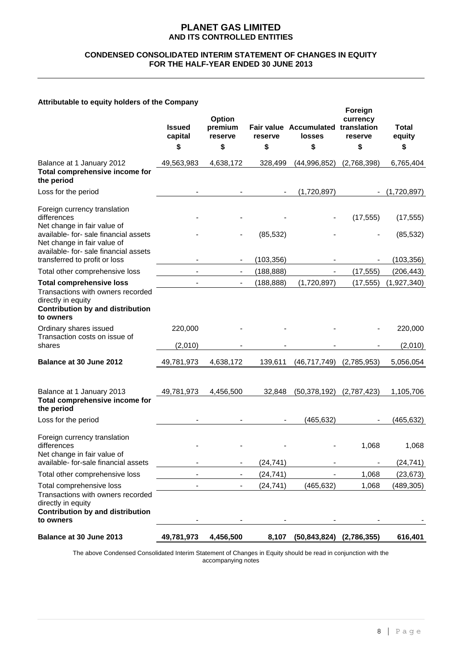## **CONDENSED CONSOLIDATED INTERIM STATEMENT OF CHANGES IN EQUITY FOR THE HALF-YEAR ENDED 30 JUNE 2013**

## **Attributable to equity holders of the Company**

|                                                                                                                                                    | <b>Issued</b><br>capital<br>\$ | Option<br>premium<br>reserve<br>\$ | reserve<br>\$ | Fair value Accumulated translation<br>losses<br>\$ | Foreign<br>currency<br>reserve<br>\$ | <b>Total</b><br>equity<br>\$ |
|----------------------------------------------------------------------------------------------------------------------------------------------------|--------------------------------|------------------------------------|---------------|----------------------------------------------------|--------------------------------------|------------------------------|
|                                                                                                                                                    |                                |                                    |               |                                                    |                                      |                              |
| Balance at 1 January 2012<br>Total comprehensive income for<br>the period                                                                          | 49,563,983                     | 4,638,172                          | 328,499       | (44,996,852)                                       | (2,768,398)                          | 6,765,404                    |
| Loss for the period                                                                                                                                |                                |                                    |               | (1,720,897)                                        |                                      | (1,720,897)                  |
| Foreign currency translation<br>differences<br>Net change in fair value of                                                                         |                                |                                    |               |                                                    | (17, 555)                            | (17, 555)                    |
| available- for- sale financial assets<br>Net change in fair value of<br>available- for- sale financial assets                                      |                                |                                    | (85, 532)     |                                                    |                                      | (85, 532)                    |
| transferred to profit or loss                                                                                                                      |                                |                                    | (103, 356)    |                                                    |                                      | (103, 356)                   |
| Total other comprehensive loss                                                                                                                     |                                |                                    | (188, 888)    |                                                    | (17, 555)                            | (206, 443)                   |
| <b>Total comprehensive loss</b><br>Transactions with owners recorded<br>directly in equity<br><b>Contribution by and distribution</b><br>to owners |                                |                                    | (188, 888)    | (1,720,897)                                        | (17, 555)                            | (1,927,340)                  |
| Ordinary shares issued                                                                                                                             | 220,000                        |                                    |               |                                                    |                                      | 220,000                      |
| Transaction costs on issue of<br>shares                                                                                                            | (2,010)                        |                                    |               |                                                    |                                      | (2,010)                      |
| Balance at 30 June 2012                                                                                                                            | 49,781,973                     | 4,638,172                          | 139,611       | (46, 717, 749)                                     | (2,785,953)                          | 5,056,054                    |
| Balance at 1 January 2013<br>Total comprehensive income for<br>the period                                                                          | 49,781,973                     | 4,456,500                          | 32,848        | (50, 378, 192)                                     | (2,787,423)                          | 1,105,706                    |
| Loss for the period                                                                                                                                |                                |                                    |               | (465, 632)                                         |                                      | (465, 632)                   |
| Foreign currency translation<br>differences<br>Net change in fair value of                                                                         |                                |                                    |               |                                                    | 1,068                                | 1,068                        |
| available- for-sale financial assets                                                                                                               |                                |                                    | (24, 741)     |                                                    |                                      | (24, 741)                    |
| Total other comprehensive loss                                                                                                                     |                                |                                    | (24, 741)     |                                                    | 1,068                                | (23, 673)                    |
| Total comprehensive loss<br>Transactions with owners recorded<br>directly in equity<br><b>Contribution by and distribution</b><br>to owners        |                                |                                    | (24, 741)     | (465, 632)                                         | 1,068                                | (489,305)                    |
| Balance at 30 June 2013                                                                                                                            | 49,781,973                     | 4,456,500                          |               | 8,107 (50,843,824) (2,786,355)                     |                                      | 616,401                      |

The above Condensed Consolidated Interim Statement of Changes in Equity should be read in conjunction with the accompanying notes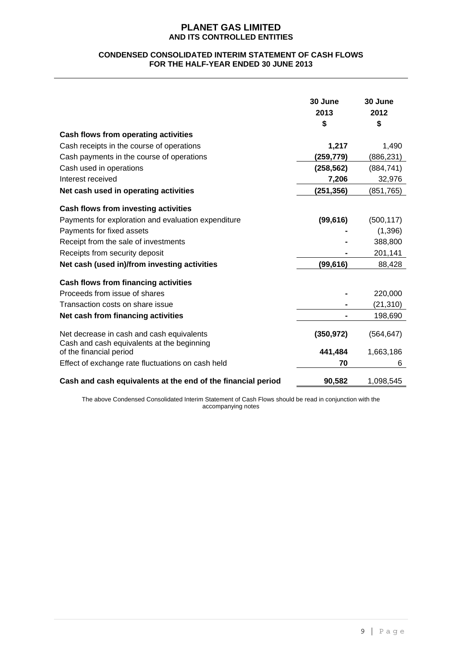## **CONDENSED CONSOLIDATED INTERIM STATEMENT OF CASH FLOWS FOR THE HALF-YEAR ENDED 30 JUNE 2013**

|                                                                                         | 30 June<br>2013<br>\$ | 30 June<br>2012<br>\$ |
|-----------------------------------------------------------------------------------------|-----------------------|-----------------------|
| Cash flows from operating activities                                                    |                       |                       |
| Cash receipts in the course of operations                                               | 1,217                 | 1,490                 |
| Cash payments in the course of operations                                               | (259,779)             | (886,231)             |
| Cash used in operations                                                                 | (258, 562)            | (884, 741)            |
| Interest received                                                                       | 7,206                 | 32,976                |
| Net cash used in operating activities                                                   | (251, 356)            | (851, 765)            |
| Cash flows from investing activities                                                    |                       |                       |
| Payments for exploration and evaluation expenditure                                     | (99, 616)             | (500, 117)            |
| Payments for fixed assets                                                               |                       | (1,396)               |
| Receipt from the sale of investments                                                    |                       | 388,800               |
| Receipts from security deposit                                                          |                       | 201,141               |
| Net cash (used in)/from investing activities                                            | (99, 616)             | 88,428                |
| <b>Cash flows from financing activities</b>                                             |                       |                       |
| Proceeds from issue of shares                                                           |                       | 220,000               |
| Transaction costs on share issue                                                        |                       | (21,310)              |
| Net cash from financing activities                                                      |                       | 198,690               |
| Net decrease in cash and cash equivalents<br>Cash and cash equivalents at the beginning | (350, 972)            | (564, 647)            |
| of the financial period                                                                 | 441,484               | 1,663,186             |
| Effect of exchange rate fluctuations on cash held                                       | 70                    | 6                     |
| Cash and cash equivalents at the end of the financial period                            | 90,582                | 1,098,545             |

The above Condensed Consolidated Interim Statement of Cash Flows should be read in conjunction with the accompanying notes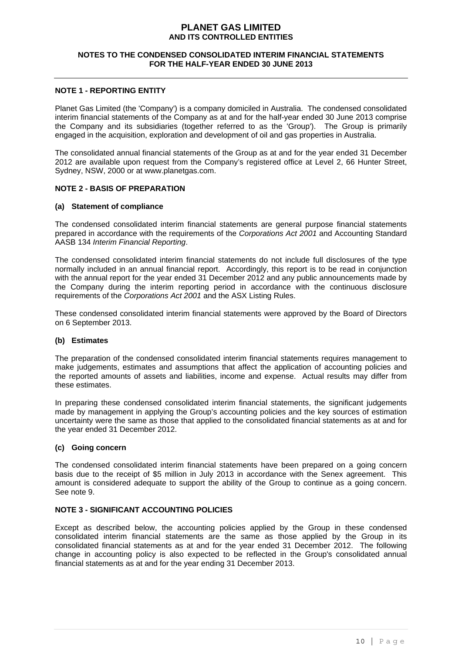## **NOTES TO THE CONDENSED CONSOLIDATED INTERIM FINANCIAL STATEMENTS FOR THE HALF-YEAR ENDED 30 JUNE 2013**

#### **NOTE 1 - REPORTING ENTITY**

Planet Gas Limited (the 'Company') is a company domiciled in Australia. The condensed consolidated interim financial statements of the Company as at and for the half-year ended 30 June 2013 comprise the Company and its subsidiaries (together referred to as the 'Group'). The Group is primarily engaged in the acquisition, exploration and development of oil and gas properties in Australia.

The consolidated annual financial statements of the Group as at and for the year ended 31 December 2012 are available upon request from the Company's registered office at Level 2, 66 Hunter Street, Sydney, NSW, 2000 or at www.planetgas.com.

#### **NOTE 2 - BASIS OF PREPARATION**

#### **(a) Statement of compliance**

The condensed consolidated interim financial statements are general purpose financial statements prepared in accordance with the requirements of the *Corporations Act 2001* and Accounting Standard AASB 134 *Interim Financial Reporting*.

The condensed consolidated interim financial statements do not include full disclosures of the type normally included in an annual financial report. Accordingly, this report is to be read in conjunction with the annual report for the year ended 31 December 2012 and any public announcements made by the Company during the interim reporting period in accordance with the continuous disclosure requirements of the *Corporations Act 2001* and the ASX Listing Rules.

These condensed consolidated interim financial statements were approved by the Board of Directors on 6 September 2013.

#### **(b) Estimates**

The preparation of the condensed consolidated interim financial statements requires management to make judgements, estimates and assumptions that affect the application of accounting policies and the reported amounts of assets and liabilities, income and expense. Actual results may differ from these estimates.

In preparing these condensed consolidated interim financial statements, the significant judgements made by management in applying the Group's accounting policies and the key sources of estimation uncertainty were the same as those that applied to the consolidated financial statements as at and for the year ended 31 December 2012.

#### **(c) Going concern**

The condensed consolidated interim financial statements have been prepared on a going concern basis due to the receipt of \$5 million in July 2013 in accordance with the Senex agreement. This amount is considered adequate to support the ability of the Group to continue as a going concern. See note 9.

## **NOTE 3 - SIGNIFICANT ACCOUNTING POLICIES**

Except as described below, the accounting policies applied by the Group in these condensed consolidated interim financial statements are the same as those applied by the Group in its consolidated financial statements as at and for the year ended 31 December 2012. The following change in accounting policy is also expected to be reflected in the Group's consolidated annual financial statements as at and for the year ending 31 December 2013.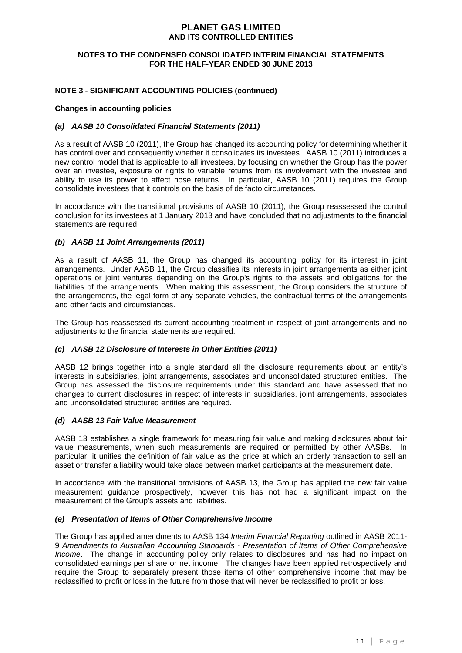## **NOTES TO THE CONDENSED CONSOLIDATED INTERIM FINANCIAL STATEMENTS FOR THE HALF-YEAR ENDED 30 JUNE 2013**

## **NOTE 3 - SIGNIFICANT ACCOUNTING POLICIES (continued)**

## **Changes in accounting policies**

## *(a) AASB 10 Consolidated Financial Statements (2011)*

As a result of AASB 10 (2011), the Group has changed its accounting policy for determining whether it has control over and consequently whether it consolidates its investees. AASB 10 (2011) introduces a new control model that is applicable to all investees, by focusing on whether the Group has the power over an investee, exposure or rights to variable returns from its involvement with the investee and ability to use its power to affect hose returns. In particular, AASB 10 (2011) requires the Group consolidate investees that it controls on the basis of de facto circumstances.

In accordance with the transitional provisions of AASB 10 (2011), the Group reassessed the control conclusion for its investees at 1 January 2013 and have concluded that no adjustments to the financial statements are required.

## *(b) AASB 11 Joint Arrangements (2011)*

As a result of AASB 11, the Group has changed its accounting policy for its interest in joint arrangements. Under AASB 11, the Group classifies its interests in joint arrangements as either joint operations or joint ventures depending on the Group's rights to the assets and obligations for the liabilities of the arrangements. When making this assessment, the Group considers the structure of the arrangements, the legal form of any separate vehicles, the contractual terms of the arrangements and other facts and circumstances.

The Group has reassessed its current accounting treatment in respect of joint arrangements and no adjustments to the financial statements are required.

#### *(c) AASB 12 Disclosure of Interests in Other Entities (2011)*

AASB 12 brings together into a single standard all the disclosure requirements about an entity's interests in subsidiaries, joint arrangements, associates and unconsolidated structured entities. The Group has assessed the disclosure requirements under this standard and have assessed that no changes to current disclosures in respect of interests in subsidiaries, joint arrangements, associates and unconsolidated structured entities are required.

#### *(d) AASB 13 Fair Value Measurement*

AASB 13 establishes a single framework for measuring fair value and making disclosures about fair value measurements, when such measurements are required or permitted by other AASBs. In particular, it unifies the definition of fair value as the price at which an orderly transaction to sell an asset or transfer a liability would take place between market participants at the measurement date.

In accordance with the transitional provisions of AASB 13, the Group has applied the new fair value measurement guidance prospectively, however this has not had a significant impact on the measurement of the Group's assets and liabilities.

#### *(e) Presentation of Items of Other Comprehensive Income*

The Group has applied amendments to AASB 134 *Interim Financial Reporting* outlined in AASB 2011- 9 *Amendments to Australian Accounting Standards - Presentation of Items of Other Comprehensive Income*. The change in accounting policy only relates to disclosures and has had no impact on consolidated earnings per share or net income. The changes have been applied retrospectively and require the Group to separately present those items of other comprehensive income that may be reclassified to profit or loss in the future from those that will never be reclassified to profit or loss.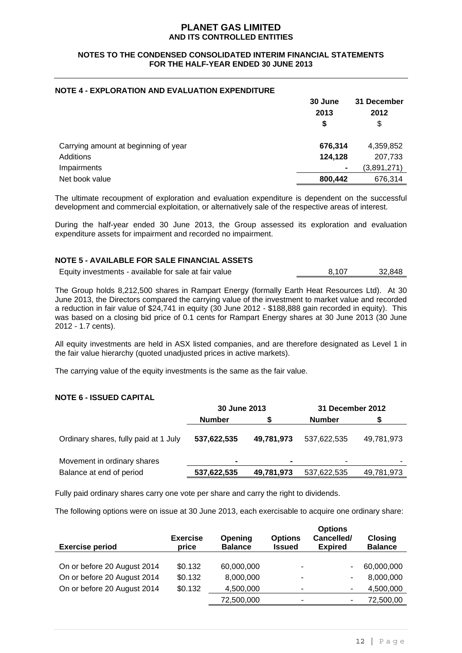## **NOTES TO THE CONDENSED CONSOLIDATED INTERIM FINANCIAL STATEMENTS FOR THE HALF-YEAR ENDED 30 JUNE 2013**

## **NOTE 4 - EXPLORATION AND EVALUATION EXPENDITURE**

|                                      | 30 June<br>2013<br>S | 31 December<br>2012<br>\$ |
|--------------------------------------|----------------------|---------------------------|
| Carrying amount at beginning of year | 676,314              | 4,359,852                 |
| Additions                            | 124,128              | 207,733                   |
| Impairments                          | $\blacksquare$       | (3,891,271)               |
| Net book value                       | 800,442              | 676,314                   |

The ultimate recoupment of exploration and evaluation expenditure is dependent on the successful development and commercial exploitation, or alternatively sale of the respective areas of interest.

During the half-year ended 30 June 2013, the Group assessed its exploration and evaluation expenditure assets for impairment and recorded no impairment.

## **NOTE 5 - AVAILABLE FOR SALE FINANCIAL ASSETS**

Equity investments - available for sale at fair value 8,107 32,848

The Group holds 8,212,500 shares in Rampart Energy (formally Earth Heat Resources Ltd). At 30 June 2013, the Directors compared the carrying value of the investment to market value and recorded a reduction in fair value of \$24,741 in equity (30 June 2012 - \$188,888 gain recorded in equity). This was based on a closing bid price of 0.1 cents for Rampart Energy shares at 30 June 2013 (30 June 2012 - 1.7 cents).

All equity investments are held in ASX listed companies, and are therefore designated as Level 1 in the fair value hierarchy (quoted unadjusted prices in active markets).

The carrying value of the equity investments is the same as the fair value.

#### **NOTE 6 - ISSUED CAPITAL**

|                |            | 31 December 2012 |            |  |
|----------------|------------|------------------|------------|--|
| <b>Number</b>  |            | <b>Number</b>    |            |  |
| 537,622,535    | 49,781,973 | 537,622,535      | 49,781,973 |  |
| $\blacksquare$ |            | ٠                | ۰          |  |
| 537,622,535    | 49,781,973 | 537,622,535      | 49,781,973 |  |
|                |            | 30 June 2013     |            |  |

Fully paid ordinary shares carry one vote per share and carry the right to dividends.

The following options were on issue at 30 June 2013, each exercisable to acquire one ordinary share:

| <b>Exercise period</b>      | <b>Exercise</b><br>price | <b>Opening</b><br><b>Balance</b> | <b>Options</b><br><b>Issued</b> | <b>Options</b><br>Cancelled/<br><b>Expired</b> | <b>Closing</b><br><b>Balance</b> |
|-----------------------------|--------------------------|----------------------------------|---------------------------------|------------------------------------------------|----------------------------------|
| On or before 20 August 2014 | \$0.132                  | 60,000,000                       | ٠                               |                                                | 60,000,000                       |
| On or before 20 August 2014 | \$0.132                  | 8,000,000                        | ۰                               | ۰                                              | 8,000,000                        |
| On or before 20 August 2014 | \$0.132                  | 4,500,000                        | ۰                               |                                                | 4,500,000                        |
|                             |                          | 72,500,000                       | $\blacksquare$                  |                                                | 72,500,00                        |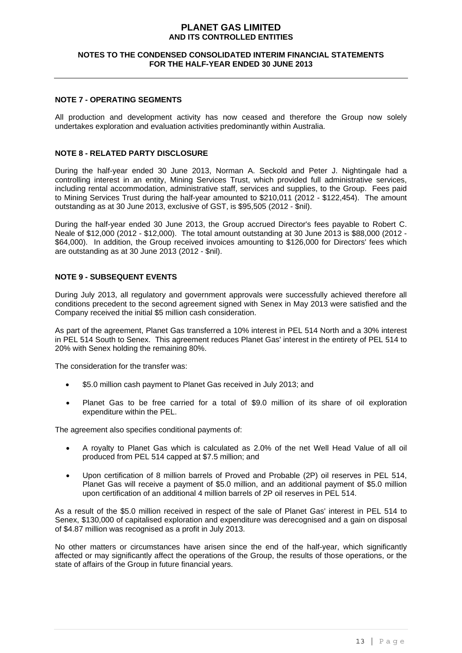## **NOTES TO THE CONDENSED CONSOLIDATED INTERIM FINANCIAL STATEMENTS FOR THE HALF-YEAR ENDED 30 JUNE 2013**

## **NOTE 7 - OPERATING SEGMENTS**

All production and development activity has now ceased and therefore the Group now solely undertakes exploration and evaluation activities predominantly within Australia.

#### **NOTE 8 - RELATED PARTY DISCLOSURE**

During the half-year ended 30 June 2013, Norman A. Seckold and Peter J. Nightingale had a controlling interest in an entity, Mining Services Trust, which provided full administrative services, including rental accommodation, administrative staff, services and supplies, to the Group. Fees paid to Mining Services Trust during the half-year amounted to \$210,011 (2012 - \$122,454). The amount outstanding as at 30 June 2013, exclusive of GST, is \$95,505 (2012 - \$nil).

During the half-year ended 30 June 2013, the Group accrued Director's fees payable to Robert C. Neale of \$12,000 (2012 - \$12,000). The total amount outstanding at 30 June 2013 is \$88,000 (2012 - \$64,000). In addition, the Group received invoices amounting to \$126,000 for Directors' fees which are outstanding as at 30 June 2013 (2012 - \$nil).

## **NOTE 9 - SUBSEQUENT EVENTS**

During July 2013, all regulatory and government approvals were successfully achieved therefore all conditions precedent to the second agreement signed with Senex in May 2013 were satisfied and the Company received the initial \$5 million cash consideration.

As part of the agreement, Planet Gas transferred a 10% interest in PEL 514 North and a 30% interest in PEL 514 South to Senex. This agreement reduces Planet Gas' interest in the entirety of PEL 514 to 20% with Senex holding the remaining 80%.

The consideration for the transfer was:

- \$5.0 million cash payment to Planet Gas received in July 2013; and
- Planet Gas to be free carried for a total of \$9.0 million of its share of oil exploration expenditure within the PEL.

The agreement also specifies conditional payments of:

- A royalty to Planet Gas which is calculated as 2.0% of the net Well Head Value of all oil produced from PEL 514 capped at \$7.5 million; and
- Upon certification of 8 million barrels of Proved and Probable (2P) oil reserves in PEL 514, Planet Gas will receive a payment of \$5.0 million, and an additional payment of \$5.0 million upon certification of an additional 4 million barrels of 2P oil reserves in PEL 514.

As a result of the \$5.0 million received in respect of the sale of Planet Gas' interest in PEL 514 to Senex, \$130,000 of capitalised exploration and expenditure was derecognised and a gain on disposal of \$4.87 million was recognised as a profit in July 2013.

No other matters or circumstances have arisen since the end of the half-year, which significantly affected or may significantly affect the operations of the Group, the results of those operations, or the state of affairs of the Group in future financial years.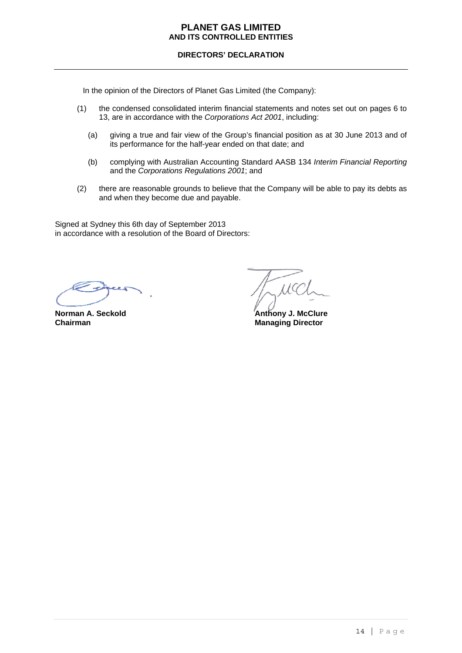## **DIRECTORS' DECLARATION**

In the opinion of the Directors of Planet Gas Limited (the Company):

- (1) the condensed consolidated interim financial statements and notes set out on pages 6 to 13, are in accordance with the *Corporations Act 2001*, including:
	- (a) giving a true and fair view of the Group's financial position as at 30 June 2013 and of its performance for the half-year ended on that date; and
	- (b) complying with Australian Accounting Standard AASB 134 *Interim Financial Reporting*  and the *Corporations Regulations 2001*; and
- (2) there are reasonable grounds to believe that the Company will be able to pay its debts as and when they become due and payable.

Signed at Sydney this 6th day of September 2013 in accordance with a resolution of the Board of Directors:

**Chairman Managing Director Managing Director** 

 $11G$ 

**Norman A. Seckold Contract Anti-** Anthony J. McClure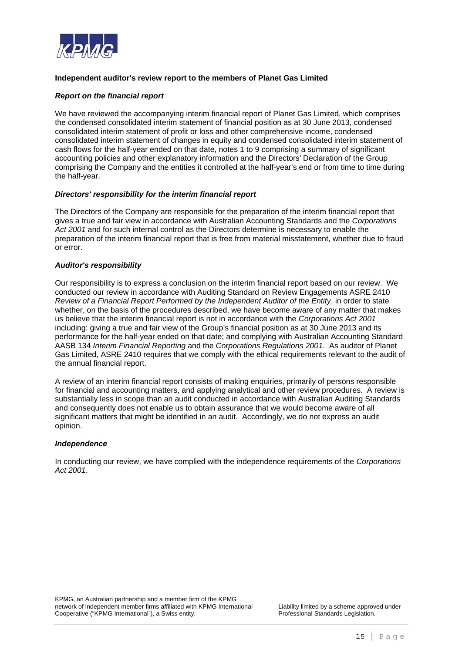

## **Independent auditor's review report to the members of Planet Gas Limited**

#### *Report on the financial report*

We have reviewed the accompanying interim financial report of Planet Gas Limited, which comprises the condensed consolidated interim statement of financial position as at 30 June 2013, condensed consolidated interim statement of profit or loss and other comprehensive income, condensed consolidated interim statement of changes in equity and condensed consolidated interim statement of cash flows for the half-year ended on that date, notes 1 to 9 comprising a summary of significant accounting policies and other explanatory information and the Directors' Declaration of the Group comprising the Company and the entities it controlled at the half-year's end or from time to time during the half-year.

#### *Directors' responsibility for the interim financial report*

The Directors of the Company are responsible for the preparation of the interim financial report that gives a true and fair view in accordance with Australian Accounting Standards and the *Corporations Act 2001* and for such internal control as the Directors determine is necessary to enable the preparation of the interim financial report that is free from material misstatement, whether due to fraud or error.

#### *Auditor's responsibility*

Our responsibility is to express a conclusion on the interim financial report based on our review. We conducted our review in accordance with Auditing Standard on Review Engagements ASRE 2410 *Review of a Financial Report Performed by the Independent Auditor of the Entity*, in order to state whether, on the basis of the procedures described, we have become aware of any matter that makes us believe that the interim financial report is not in accordance with the *Corporations Act 2001* including: giving a true and fair view of the Group's financial position as at 30 June 2013 and its performance for the half-year ended on that date; and complying with Australian Accounting Standard AASB 134 *Interim Financial Reporting* and the *Corporations Regulations 2001*. As auditor of Planet Gas Limited, ASRE 2410 requires that we comply with the ethical requirements relevant to the audit of the annual financial report.

A review of an interim financial report consists of making enquiries, primarily of persons responsible for financial and accounting matters, and applying analytical and other review procedures. A review is substantially less in scope than an audit conducted in accordance with Australian Auditing Standards and consequently does not enable us to obtain assurance that we would become aware of all significant matters that might be identified in an audit. Accordingly, we do not express an audit opinion.

#### *Independence*

In conducting our review, we have complied with the independence requirements of the *Corporations Act 2001*.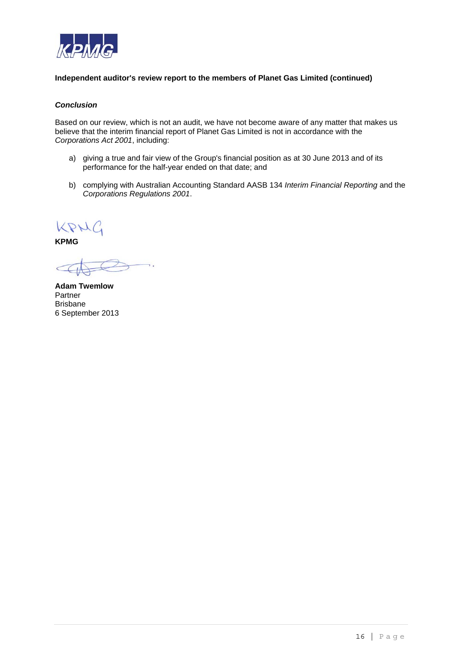

## **Independent auditor's review report to the members of Planet Gas Limited (continued)**

## *Conclusion*

Based on our review, which is not an audit, we have not become aware of any matter that makes us believe that the interim financial report of Planet Gas Limited is not in accordance with the *Corporations Act 2001*, including:

- a) giving a true and fair view of the Group's financial position as at 30 June 2013 and of its performance for the half-year ended on that date; and
- b) complying with Australian Accounting Standard AASB 134 *Interim Financial Reporting* and the *Corporations Regulations 2001*.

KPHC

**KPMG** 

**Adam Twemlow**  Partner Brisbane 6 September 2013